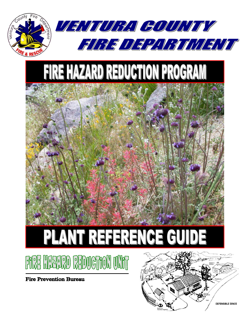





**Fire Prevention Bureau** 

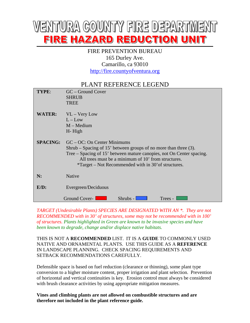# WENTURYA COUNTY FIRE DEPARTMENT FIRE HAZARD REDUCTION UNIT

#### FIRE PREVENTION BUREAU 165 Durley Ave. Camarillo, ca 93010 [http://fire.countyofventura.org](http://fire.countyofventura.org/)

#### PLANT REFERENCE LEGEND

| TYPE:           | GC – Ground Cover<br><b>SHRUB</b><br><b>TREE</b>                                                                                                                                                                                                                                                     |
|-----------------|------------------------------------------------------------------------------------------------------------------------------------------------------------------------------------------------------------------------------------------------------------------------------------------------------|
| <b>WATER:</b>   | $VL - Very Low$<br>$L - Low$<br>$M - Medium$<br>H-High                                                                                                                                                                                                                                               |
| <b>SPACING:</b> | $GC - OC$ : On Center Minimums<br>Shrub – Spacing of 15' between groups of no more than three $(3)$ .<br>Tree – Spacing of 15' between mature canopies, not On Center spacing.<br>All trees must be a minimum of 10' from structures.<br><i>*Target</i> – Not Recommended with in 30' of structures. |
| N:              | Native                                                                                                                                                                                                                                                                                               |
| $E/D$ :         | Evergreen/Deciduous                                                                                                                                                                                                                                                                                  |
|                 | Ground Cover-<br>Shrubs - l<br>Trees -                                                                                                                                                                                                                                                               |

*TARGET (Undesirable Plants) SPECIES ARE DESIGNATED WITH AN \*. They are not RECOMMENDED with in 30' of structures, some may not be recommended with in 100' of structures. Plants highlighted in Green are known to be invasive species and have been known to degrade, change and/or displace native habitats.* 

THIS IS NOT A **RECOMMENDED** LIST. IT IS A **GUIDE** TO COMMONLY USED NATIVE AND ORNAMENTAL PLANTS. USE THIS GUIDE AS A **REFERENCE** IN LANDSCAPE PLANNING. CHECK SPACING REQUIREMENTS AND SETBACK RECOMMENDATIONS CAREFULLY.

Defensible space is based on fuel reduction (clearance or thinning), some plant type conversion to a higher moisture content, proper irrigation and plant selection. Prevention of horizontal and vertical continuities is key. Erosion control must always be considered with brush clearance activities by using appropriate mitigation measures.

**Vines and climbing plants are not allowed on combustible structures and are therefore not included in the plant reference guide.**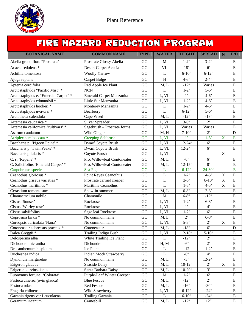

### FIRE HAZARD REDUCTION PROGRAM

| <b>BOTANICAL NAME</b>                | <b>COMMON NAME</b>            | <b>TYPE</b>     | <b>WATER</b> | <b>HEIGHT</b>  | <b>SPREAD</b>      | N                         | E/D                     |
|--------------------------------------|-------------------------------|-----------------|--------------|----------------|--------------------|---------------------------|-------------------------|
| Abelia grandiflora "Prostrata"       | Prostrate Glossy Abelia       | GC              | M            | $1-2"$         | $3-4"$             |                           | E                       |
| Acacia redolens <sup>*</sup>         | Desert Carpet Acacia          | GC              | <b>VL</b>    | 18'            | $6^{\circ}$        |                           | ${\bf E}$               |
| Achillia tomentosa                   | <b>Woolly Yarrow</b>          | GC              | $\mathbf{L}$ | $6 - 10"$      | $6 - 12"$          |                           | E                       |
| Ajuga reptans                        | <b>Carpet Bulge</b>           | GC              | $\, {\rm H}$ | $4 - 6$ "      | $2-4"$             |                           | ${\bf E}$               |
| Aptenia cordifolia                   | Red Apple Ice Plant           | GC              | M, L         | $-12"$         | Varies             |                           | ${\bf E}$               |
| Arctostaphylos "Pacific Mist" *      | <b>NCN</b>                    | GC              | L            | $1-2"$         | $5-6'$             |                           | $\mathbf E$             |
| Arctostaphylos e. "Emerald Carpet" * | Emerald Carpet Manzanita      | GC              | L, VL        | $\overline{1}$ | $4 - 6'$           |                           | $\mathbf E$             |
| Arctostaphylos edmundsii *           | Little Sur Manzanita          | GC              | L, VL        | $1-2"$         | $4 - 6'$           |                           | ${\bf E}$               |
| Arctostaphylos hookeri*              | Monterey Manzanita            | GC              | L            | $1-2"$         | $4 - 6'$           |                           | ${\bf E}$               |
| Arctostaphylos uva-ursi *            | Bearberry                     | GC              | L            | $6 - 12$ "     | $5-6'$             |                           | E                       |
| Arctotheca calendula                 | Cape Weed                     | GC              | M, L         | $-12"$         | $-18"$             |                           | $\mathbf E$             |
| Artemesia caucasica *                | Silver Spreader               | GC              | L, VL        | $3 - 6$ "      | $2^{\circ}$        |                           | $\mathbf E$             |
| Artemesia californica 'cultivars' *  | Sagebrush - Prostrate forms   | $\overline{GC}$ | L, VL        | Varies         | Varies             |                           | $\overline{E}$          |
| Asarum caudatum                      | Wild Ginger                   | GC              | M, H         | $7 - 10$ "     | 2,                 |                           | $\mathbf D$             |
| Atriplex semibaccata *               | <b>Creeping Saltbrush</b>     | GC              | L, VL        | 1 <sup>2</sup> | $1-5'$             | $\mathbf X$               | E                       |
| Baccharis p. 'Pigeon Point' *        | Dwarf Coyote Brush            | GC              | L, VL        | $12 - 24"$     | 6 <sup>o</sup>     |                           | ${\bf E}$               |
| Baccharis p 'Twin Peaks' *           | Dwarf Coyote Brush            | GC              | L, VL        | $12 - 24"$     | 6 <sup>o</sup>     |                           | E                       |
| Baccharis pilularis *                | Coyote Brush                  | GC              | L, VL        |                |                    | $\mathbf X$               |                         |
| C. s. 'Repens' *                     | Pro. Willowleaf Contoneater   | GC              | M, L         | $-6"$          | 6'                 |                           | E                       |
| C. Salicifolius 'Emerald Carpet' *   | Pro. Willowleaf Contoneater   | GC              | M, L         | $12 - 15"$     | 8'                 |                           | E                       |
| Carpobrotus species                  | Sea Fig                       | GC              | $\mathbf{L}$ | $6 - 12"$      | $24 - 30"$         |                           | $\overline{E}$          |
| Ceanothus gloriosus *                | Point Reyes Ceanothus         | GC              | $\mathbf{L}$ | $1-2"$         | $4 - 5'$           | $\mathbf X$               | ${\bf E}$               |
| Ceanothus griseus varieties *        | Prostrate carmel creaper      | GC              | L            | $2 - 3'$       | $8-10'$            | $\mathbf X$               | ${\bf E}$               |
| Ceanothus maritimus *                | <b>Maritime Ceanothus</b>     | GC              | $\mathbf L$  | $1-3'$         | $4 - 5'$           | $\boldsymbol{\mathrm{X}}$ | ${\bf E}$               |
| Cerastium tomentosum                 | Snow-in-summer                | GC              | M, L         | $6 - 8$        | $2 - 3'$           |                           | ${\bf E}$               |
| Chamaemelum nobile                   | Chamonile                     | GC              | M            | $6 - 8$ "      | $-12"$             |                           | $\overline{E}$          |
| Cistus 'Sunset'                      | Rockrose                      | GC              | L, VL        | $1-2"$         | $6 - 8'$           |                           | E                       |
| Cistus 'Warley rose'                 | Rockrose                      | GC              | L, VL        | $\overline{1}$ | $4^"$              |                           | ${\bf E}$               |
| Cistus salviifolius                  | Sage leaf Rockrose            | GC              | L, VL        | $1-2"$         | $6^{\circ}$        |                           | ${\bf E}$               |
| Coprosma kirkii *                    | No common name                | GC              | M, L         | $\overline{2}$ | $6 - 8'$           |                           | $\mathbf E$             |
| Coreopsis auriculata 'Nana'          | No common name                | GC              | L, VL        | $5 - 8$ "      | $2$ <sup>'</sup>   | $\overline{\mathrm{X}}$   | E                       |
| Cotoneaster adpressus praecox *      | Cotoneaster                   | GC              | M, L         | $-18"$         | $\overline{6}$     |                           | ${\bf D}$               |
| Dalea Greggii *                      | <b>Trailing Indigo Bush</b>   | $\overline{GC}$ | L, VL        | $12-18"$       | $5 - 10$ "         |                           | $\overline{\mathrm{E}}$ |
| Delosperma alba                      | White Trailing Ice Plant      | GC              | L            | $-12"$         | $2^{\circ}$        |                           | E                       |
| Dichondra micrantha                  | Dichondra                     | GC              | H, M         | $-6"$          | $2^{\circ}$        |                           | E                       |
| Drosanthemum hispidum                | Ice Plant                     | ${\rm GC}$      | L            | $-12$          | $1-2$ <sup>*</sup> |                           | E                       |
| Duchesnea indica                     | <b>Indian Mock Strawberry</b> | GC              | L            | $-8"$          | $4^"$              |                           | E                       |
| Dymondia margaretae                  | No common name                | GC              | M, L         | $-3"$          | $12 - 24"$         |                           | ${\bf E}$               |
| Erigeron glaucus                     | Seaside Daisy                 | ${\rm GC}$      | M, L         | $10-12"$       | $2^{\circ}$        | $\mathbf X$               | ${\bf E}$               |
| Erigeron karvinskianus               | Santa Barbara Daisy           | ${\rm GC}$      | M, L         | $10 - 20$ "    | 3'                 |                           | E                       |
| Euonymus fortunei 'Colorata'         | Purple-Leaf Winter Creeper    | GC              | M            | $1-2$          | $6^{\circ}$        |                           | E                       |
| Festuca cinerea (ovin glauca)        | <b>Blue Fescue</b>            | ${\rm GC}$      | M, L         | $-12"$         | $2^{\circ}$        |                           | E                       |
| Festuca rubra                        | Red Fescue                    | ${\rm GC}$      | M, L         | $-16"$         | $-30"$             |                           | E                       |
| Fragaria chiloensis                  | Wild Strawberry               | ${\rm GC}$      | L, VL        | $6 - 12$ "     | $-24"$             |                           | E                       |
| Gazania rigens var Leucolaena        | Trailing Gazania              | ${\rm GC}$      | L            | $6 - 10$ "     | $-24"$             |                           | ${\bf E}$               |
| Geranium incanum                     | Cranesbill                    | ${\rm GC}$      | M, L         | $-12"$         | 12"                |                           | E                       |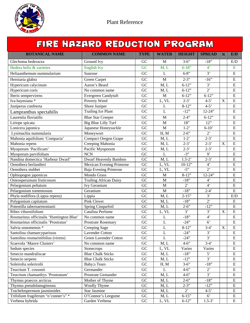

## FIRE HAZARD REDUCTION PROGRAM

| <b>BOTANICAL NAME</b>                    | <b>COMMON NAME</b>              | <b>TYPE</b>     | <b>WATER</b>   | <b>HEIGHT</b>      | <b>SPREAD</b>    | N           | E/D                     |
|------------------------------------------|---------------------------------|-----------------|----------------|--------------------|------------------|-------------|-------------------------|
| Glechoma hederacea                       | Ground Ivy                      | GC              | M              | $3 - 6$ "          | $-18"$           |             | E/D                     |
| Hedera helix & varieties                 | <b>English Ivy</b>              | GC              | M, L           | $6 - 18"$          | $4^{\circ}$      |             | E                       |
| Heliaanthemum nummularium                | Sunrose                         | GC              | $\bf L$        | $6 - 8$ "          | $\overline{3}$   |             | ${\bf E}$               |
| Herniaria glabra                         | Green Carpet                    | GC              | M              | $2 - 3$ "          | $-16"$           |             | E                       |
| Hypericum calycinum                      | Aaron's Beard                   | GC              | M, L           | $6-12$ "           | 3'               |             | E                       |
| Hypericum coris                          | No common name                  | GC              | M, L           | $6 - 12$ "         | $2^{\circ}$      |             | E                       |
| Iberis sempervirens                      | Evergreen Candytuft             | ${\rm GC}$      | M              | $6 - 12$ "         | $6 - 12"$        |             | ${\bf E}$               |
| Iva hayesiana *                          | Poverty Weed                    | GC              | L, VL          | $2 - 3'$           | $4 - 5'$         | $\mathbf X$ | $\overline{E}$          |
| Juniperus confeerta                      | Shore Juniper                   | GC              | L              | $8-12"$            | $4 - 5'$         |             | E                       |
| Lampranthus spectabilis                  | <b>Trailing Ice Plant</b>       | GC              | L              | $-12"$             | $12 - 24"$       |             | $\mathbf E$             |
| Laurentia fluviatilis                    | <b>Blue Star Creeper</b>        | $\overline{GC}$ | M              | $2-4$ "            | $6 - 12$ "       |             | E                       |
| Liriope spicata                          | Big Blue Lilly Turf             | GC              | M              | 18"                | 12"              |             | E                       |
| Lonicera japonica                        | Japanese Honeysuckle            | GC              | M              | $1-2"$             | $6 - 10'$        |             | $\mathbf E$             |
| Lysimachia nummularia                    | Moneywort                       | GC              | H, M           | $2 - 6$ "          | $\overline{2}$   |             | ${\bf E}$               |
| Mahonia aquifolium 'Compacta'            | <b>Compact Oregon Grape</b>     | ${\rm GC}$      | M, L           | $1-2$ <sup>'</sup> | $2 - 3'$         |             | $\mathbf E$             |
| Mahonia repens                           | Creeping Mahonia                | GC              | M, L           | $2 - 3'$           | $2 - 3'$         | $\mathbf X$ | E                       |
| Myoporum 'Pacificum'                     | Pacific Myoporum                | GC              | M, L           | $2-3'$             | $2 - 3'$         |             | $\overline{E}$          |
| Myoporum parvifolium                     | <b>NCN</b>                      | GC              | $\mathbf{L}$   | $-3"$              | $\mathbf{Q}$     |             | E                       |
| Nandina domectica 'Harbour Dwarf'        | Dwarf Heavenly Bamboo           | GC              | M, L           | $1.5 - 2'$         | $2 - 3'$         |             | $\mathbf E$             |
| Oenothera berlandieri                    | <b>Mexican Evening Primrose</b> | GC              | L, VL          | $10-12$            | $\overline{4}$   |             | $\overline{E}$          |
| Oenothera stubbei                        | Baja Evening Primrose           | GC              | L, VL          | $-5"$              | $\overline{2}$   |             | $\mathbf E$             |
| Ophiopogon japonicus                     | Mondo Grass                     | GC              | M              | $8-12"$            | $12 - 24"$       |             | $\mathbf E$             |
| Osteosperumum fruticosum                 | <b>Trailing African Daisy</b>   | GC              | M              | $-18"$             | $4^{\circ}$      |             | ${\bf E}$               |
| Pelargonium peltatum                     | Ivy Geranium                    | GC              | M              | $2^{\circ}$        | $4^{\circ}$      |             | ${\bf E}$               |
| Pelargonium tomentosum                   | Geranium                        | GC              | M              | $-18"$             | $2-4'$           |             | E                       |
| Phyla nodiflora (Lippia repens)          | Lippia                          | GC              | M, L           | $2 - 15"$          | 3'               |             | E/D                     |
| Polygonium capitatum                     | Pink Clover                     | GC              | M, L           | $-18"$             | $2^{\circ}$      |             | E                       |
| Potentilla tabernaemontanii              | Spring Cinquefoil               | GC              | M, L           | $2 - 6$            | $-12"$           |             | $\mathbf E$             |
| Ribes viburnifolium                      | Catalina Perfume                | GC              | L, VL          | 3'                 | 3'               | $\mathbf X$ | $\overline{E}$          |
| Rosmarinus officinalis 'Huntington Blue' | No common name                  | GC              | $\mathbf L$    | $-18"$             | $\overline{4}$   |             | E                       |
| Rosmarinus officinalis 'Prostratus'      | <b>Prostrate Rosemary</b>       | GC              | $\mathbf{L}$   | $-24"$             | 6 <sup>o</sup>   |             | E                       |
| Salvia sonomensis *                      | Creeping Sage                   | ${\rm GC}$      | $\mathbf L$    | $8-12"$            | $3-4'$           | $\mathbf X$ | $\mathbf E$             |
| Santolina chamaecyparissus               | Lavender Cotton                 | ${\rm GC}$      | $\overline{L}$ | $-24"$             | 3'               |             | $\overline{\mathrm{E}}$ |
| Santolina rosmarinifolius (virens)       | Green Lavender Cotton           | GC              | $\mathbf L$    | $-24"$             | 3'               |             | ${\bf E}$               |
| Scaevola 'Mauve Clusters'                | No common name                  | GC              | M, L           | $4 - 6$ "          | $3-4'$           |             | E                       |
| Sedum species                            | Stonecrops                      | ${\rm GC}$      | L, VL          | Varies             | Varies           |             | E                       |
| Senecio mandraliscae                     | <b>Blue Chalk Sticks</b>        | GC              | M, L           | $-18"$             | 5'               |             | ${\bf E}$               |
| Senecio serpens                          | <b>Blue Chalk Sticks</b>        | ${\rm GC}$      | M, L           | $-12"$             | 3'               |             | ${\bf E}$               |
| Soleirolia solerirolii                   | Baby;s Tears                    | GC              | H, M           | $3 - 6$ "          | $-18"$           |             | ${\bf E}$               |
| Teucrium T. cossonii                     | Germander                       | ${\rm GC}$      | L              | $4 - 6$ "          | $2$ <sup>'</sup> |             | E                       |
| Teucrium chamaedrys 'Prostratum'         | Prostrate Gemander              | ${\rm GC}$      | M, L           | $4 - 6$ "          | 3'               |             | ${\bf E}$               |
| Thymus praecox arcticus                  | Mother of Thyme                 | ${\rm GC}$      | M, L           | $2 - 6$ "          | $-18"$           |             | E                       |
| Thymus pseudolanuginosus                 | Woolly Thyme                    | ${\rm GC}$      | M, L           | $2 - 3$ "          | $-12"$           |             | ${\bf E}$               |
| Trachelospermum jasminoides              | Star Jasmine                    | ${\rm GC}$      | M, L           | $2^{\circ}$        | $4 - 5'$         |             | E                       |
| Trifolium fragiferum "o'conner's" *      | O'Connor's Leegume              | ${\rm GC}$      | M, L           | $6 - 15"$          | $6^{\circ}$      |             | E                       |
| Verbena hybrida                          | Garden Verbena                  | ${\rm GC}$      | L, VL          | $6 - 12$ "         | $1.5 - 3'$       |             | ${\bf E}$               |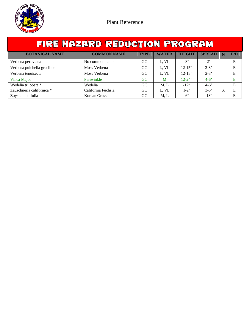

| FIRE HAZARD REDUCTION PROGRAM |                    |             |                |               |               |  |     |  |  |  |
|-------------------------------|--------------------|-------------|----------------|---------------|---------------|--|-----|--|--|--|
| <b>BOTANICAL NAME</b>         | <b>COMMON NAME</b> | <b>TYPE</b> | <b>WATER</b>   | <b>HEIGHT</b> | <b>SPREAD</b> |  | E/D |  |  |  |
| Verbena peruviana             | No common name     | GC.         | L, VL          | $-8"$         | $2^{\circ}$   |  | Е   |  |  |  |
| Verbena pulchella gracilior   | Moss Verbena       | GC          | L, VL          | $12 - 15"$    | $2 - 3'$      |  | E   |  |  |  |
| Verbena tenuisecta            | Moss Verbena       | GC          | L, VL          | $12 - 15"$    | $2 - 3'$      |  | E   |  |  |  |
| Vinca Major                   | Periwinkle         | GC          | M              | $12 - 24$ "   | $4-6'$        |  | F.  |  |  |  |
| Wedelia trilobata *           | Wedelia            | GC          | M <sub>r</sub> | $-12"$        | $4-6'$        |  | Е   |  |  |  |

Zauschneria californica \* California Fuchsia GC L, VL 1-2' 3-5' X E Zoysia tenuifolia Korean Grass GC M, L -6" -18" E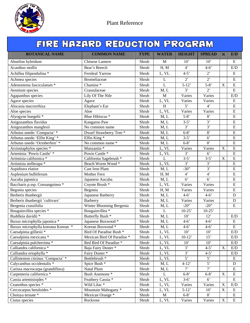

| FIRE HAZARD REDUCTION PROGRAM      |                                    |                           |                |                  |                  |                         |                |  |  |
|------------------------------------|------------------------------------|---------------------------|----------------|------------------|------------------|-------------------------|----------------|--|--|
| <b>BOTANICAL NAME</b>              | <b>COMMON NAME</b>                 | <b>TYPE</b>               | <b>WATER</b>   | <b>HEIGHT</b>    | <b>SPREAD</b>    | N                       | E/D            |  |  |
| Abutilon hybridum                  | Chinese Lantern                    | Shrub                     | M              | 10'              | 10'              |                         | E              |  |  |
| Acanthus mollis                    | Bear's Breech                      | Shrub                     | H, M           | $4^{\circ}$      | $4 - 6'$         |                         | E/D            |  |  |
| Achillea filipendulina *           | <b>Fernleaf Yarrow</b>             | Shrub                     | L, VL          | $4 - 5'$         | $2$ <sup>'</sup> |                         | ${\bf E}$      |  |  |
| Achmea species                     | Bromeliaceae                       | Shrub                     | L              | $\overline{2}$   | $\overline{2}$   |                         | ${\bf E}$      |  |  |
| Adenostema fasciculatum *          | Chamise*                           | Shrub                     | $\overline{L}$ | $5-12'$          | $5 - 8'$         | $\mathbf X$             | ${\bf E}$      |  |  |
| Aeonium species                    | Crassulaceae                       | Shrub                     | M, L           | $\overline{3}$   | $\overline{2}$   |                         | ${\bf E}$      |  |  |
| Agapanthus species                 | Lily Of The Nile                   | Shrub                     | M              | Varies           | Varies           |                         | E/D            |  |  |
| Agave species                      | Agave                              | Shrub                     | L, VL          | Varies           | Varies           |                         | ${\bf E}$      |  |  |
| Alocasia macrorrhiza               | Elephant's Ear                     | Shrub                     | H              | 5'               | $4^{\circ}$      |                         | ${\bf E}$      |  |  |
| Aloe species                       | Aloe                               | Shrub                     | L, VL          | Varies           | Varies           |                         | ${\bf E}$      |  |  |
| Alyogyne huegelii *                | Blue Hibiscus *                    | Shrub                     | M, L           | $\overline{5-8}$ | 8'               |                         | ${\bf E}$      |  |  |
| Anigozanthos flavidus              | Kangaroo Paw                       | Shrub                     | M, L           | $3-5'$           | 3'               |                         | ${\bf E}$      |  |  |
| Anigozanthos manglesii             | No common name                     | Shrub                     | M, L           | $\overline{3}$   | 3'               |                         | $\mathbf E$    |  |  |
| Arbutus unedo 'Compacta' *         | Dwarf Strawberry Tree <sup>*</sup> | Shrub                     | M, L           | $6 - 8'$         | 8'               |                         | ${\bf E}$      |  |  |
| Arbutus unedo 'Elfin King' *       | Elfin King *                       | $\overline{\text{Shrub}}$ | M, L           | $3-5'$           | $\overline{6}$   |                         | E              |  |  |
| Arbutus unedo 'Octoberfest' *      | No common name *                   | Shrub                     | M, L           | $6 - 8'$         | 8'               |                         | ${\bf E}$      |  |  |
| Arctostaphylos species *           | Manzanita *                        | Shrub                     | L, VL          | Varies           | Varies           | X                       | $\mathbf E$    |  |  |
| Artemisia 'Powis Castle' *         | Powis Castle *                     | Shrub                     | L, VL          | 3'               | $6^{\circ}$      |                         | $\mathbf E$    |  |  |
| Artimisia californica *            | California Sagebrush *             | Shrub                     | $\overline{L}$ | $3 - 5'$         | $\overline{3-5}$ | $\overline{\mathbf{X}}$ | $\overline{E}$ |  |  |
| Artimisia stellerapa *             | Beach Worm Wood *                  | Shrub                     | L, VL          | 3'               | $\overline{3}$   |                         | E              |  |  |
| Aspidistra elatior                 | <b>Cast Iron Plant</b>             | Shrub                     | M, L           | $-30"$           | $\overline{3}$   |                         | $\mathbf E$    |  |  |
| Asplenium bulbiferum               | Mother Fern                        | Shrub                     | H, M           | $4^"$            | $\overline{4}$   |                         | $\mathbf E$    |  |  |
| Aucuba japonica                    | Japanese Aucuba                    | Shrub                     | M, L           | 6'               | $6^{\circ}$      |                         | $\mathbf E$    |  |  |
| Baccharis p.ssp. Consanguinea *    | Coyote Brush *                     | Shrub                     | L, VL          | Varies           | Varies           |                         | $\mathbf E$    |  |  |
| Begonia species                    | Begonia                            | Shrub                     | H, M           | Varies           | Varies           |                         | ${\bf E}$      |  |  |
| Berberis thunbergii                | Japanese Barberry                  | Shrub                     | M, L           | $4 - 6'$         | $4 - 6'$         |                         | D              |  |  |
| Berberis thunbergii 'cultivars'    | Barberry                           | Shrub                     | M, L           | Varies           | Varies           |                         | $\mathbf D$    |  |  |
| Bergenia crassifolia               | Winter Blooming Bergenia           | Shrub                     | M, L           | $-20$ "          | $-20"$           |                         | $\mathbf E$    |  |  |
| Bougainvillea species *            | Bougainvillea <sup>*</sup>         | Shrub                     | $\mathbf L$    | $10-25$          | $10-25$          |                         |                |  |  |
| Buddleia davidii *                 | Butterfly Bush <sup>*</sup>        | Shrub                     | M, L           | 10'              | 12'              |                         | E/D            |  |  |
| Buxus microphylla japonica *       | Japanese Boxwood *                 | Shrub                     | M, L           | $\overline{4-6}$ | $\overline{4-6}$ |                         | ${\bf E}$      |  |  |
| Buxux microphylla koreana Korean * | Korean Boxwood*                    | Shrub                     | M, L           | $4 - 6'$         | $4 - 6'$         |                         | E              |  |  |
| Caesalpinia gilliesii <sup>*</sup> | Bird Of Paradise Bush *            | Shrub                     | L, VL          | 10'              | 10'              |                         | E/D            |  |  |
| Caesalpinia mexicana *             | Mexican Bird Of Paradise *         | Shrub                     | L, VL          | $10-12'$         | 15'              |                         | E/D            |  |  |
| Caesalpinia pulcherrima *          | Red Bird Of Paradise*              | Shrub                     | L, VL          | $10^{\circ}$     | 10'              |                         | E/D            |  |  |
| Calliandra californica *           | Baja Fairy Duster <sup>*</sup>     | Shrub                     | L, VL          | $\overline{3}$   | $4 - 5'$         | X                       | E/D            |  |  |
| Calliandra eriophylla *            | Fairy Duster <sup>*</sup>          | Shrub                     | L, VL          | 3'               | $4 - 5'$         |                         | E/D            |  |  |
| Callistemon citrinus 'Compacta' *  | Bottlebrush <sup>*</sup>           | Shrub                     | L, VL          | $\overline{5}$   | 5'               |                         | ${\bf E}$      |  |  |
| Calycanthus occidentalis *         | Spice Bush *                       | Shrub                     | M, L           | $4 - 12'$        | $\overline{5}$   |                         | D              |  |  |
| Carissa macrocarpa (grandiflora)   | Natal Plum                         | Shrub                     | M, L           | $7$ '            | $7$ '            |                         | E              |  |  |
| Carpenteria californica *          | <b>Bush Anemone</b> *              | Shrub                     | L              | $6 - 8'$         | $6 - 8'$         | $\mathbf X$             | ${\bf E}$      |  |  |
| Cassia artemisiojdes *             | Feathery Cassia *                  | Shrub                     | L, VL          | $3-6'$           | $6^{\circ}$      |                         | E              |  |  |
| Ceanothus species *                | Wild Lilac <sup>*</sup>            | Shrub                     | L, VL          | Varies           | Varies           | $\mathbf X$             | E/D            |  |  |
| Cercocarpus betuloides *           | Mountain Mahogany *                | Shrub                     | L, VL          | $5-12'$          | 10'              | $\mathbf X$             | ${\bf E}$      |  |  |
| Choisya ternate *                  | Mexican Orange *                   | Shrub                     | M              | $6 - 8'$         | 8'               |                         | ${\bf E}$      |  |  |
| Cistus species                     | Rockrose                           | Shrub                     | L, VL          | Varies           | Varies           | $\mathbf X$             | ${\bf E}$      |  |  |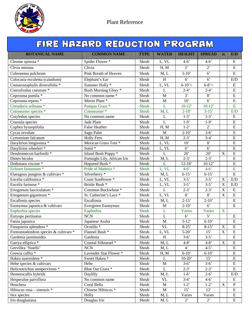

| FIRE HAZARD REDUCTION PROGRAM         |                               |             |                                 |                  |                  |                         |                         |  |  |  |
|---------------------------------------|-------------------------------|-------------|---------------------------------|------------------|------------------|-------------------------|-------------------------|--|--|--|
| <b>BOTANICAL NAME</b>                 | <b>COMMON NAME</b>            | <b>TYPE</b> | <b>WATER</b>                    | <b>HEIGHT</b>    | <b>SPREAD</b>    | $\mathbf N$             | E/D                     |  |  |  |
| Cleome spinosa *                      | Spider Flower*                | Shrub       | L, VL                           | $4-6'$           | $4 - 6'$         |                         | E                       |  |  |  |
| Clivia miniata                        | Clivia                        | Shrub       | H, M                            | $2^{\circ}$      | $2$ <sup>'</sup> |                         | ${\bf E}$               |  |  |  |
| Coleonema pulchrum                    | Pink Breath of Heaven         | Shrub       | M, L                            | $5-10'$          | 6 <sup>7</sup>   |                         | ${\bf E}$               |  |  |  |
| Colocasia esculenta (caladium)        | Elephant's Ear                | Shrub       | $\overline{H}$                  | $\overline{6}$   | $\overline{6}$   |                         | E/D                     |  |  |  |
| Comarostaphylis diversifolia *        | Summer Holly <sup>*</sup>     | Shrub       | L, VL                           | $6 - 10' +$      | $6 - 8' +$       |                         | ${\bf E}$               |  |  |  |
| Convolvulus cneorum *                 | Bush Morning Glory *          | Shrub       | L                               | $2 - 4'$         | $2 - 4'$         |                         | $\mathbf E$             |  |  |  |
| Coprosma pumila *                     | No common name *              | Shrub       | M                               | 3'               | 8'               |                         | E                       |  |  |  |
| Coprosma repens *                     | Mirror Plant <sup>*</sup>     | Shrub       | $\mathbf M$                     | $\overline{10}$  | 6'               |                         | $\overline{E}$          |  |  |  |
| Cortaderia selloana *                 | Pampas Grass <sup>*</sup>     | Shrub       | L                               | $10-12'$         | $10-12'$         |                         | E                       |  |  |  |
| Cotoneaster species *                 | Cotoneaster <sup>*</sup>      | Shrub       | M, L                            | $2-18'$          | $3 - 15'$        |                         | E/D                     |  |  |  |
| Cotyledon species                     | No common name                | Shrub       | L                               | $1-3'$           | $1-3'$           |                         | $\mathbf E$             |  |  |  |
| Crassula species                      | Jade Plant                    | Shrub       | $\mathbf{L}$                    | $1-9'$           | $1-9'$           |                         | $\mathbf E$             |  |  |  |
| Cuphea hyssopifolia                   | <b>False Heather</b>          | Shrub       | H, M                            | $1-2"$           | 2'               |                         | $\overline{E}$          |  |  |  |
| Cycas revolute                        | Sago Palm                     | Shrub       | M                               | $2 - 10'$        | $3 - 6'$         |                         | $\mathbf E$             |  |  |  |
| Cyrtomium falcatum                    | Holly Fern                    | Shrub       | H, M                            | $2 - 3'$         | $3-4'$           |                         | E                       |  |  |  |
| Dasylirion longissima *               | Mexican Grass Tree *          | Shrub       | L, VL                           | 10'              | 8'               |                         | $\mathbf E$             |  |  |  |
| Dasylirion wheeleri *                 | Sotol <sup>*</sup>            | Shrub       | L, VL                           | $\overline{6}$   | $\overline{6}$   |                         | E                       |  |  |  |
| Dendromecon harfordii *               | Island Bush Poppy *           | Shrub       | $\bf L$                         | 20'              | 20'              | $\overline{\mathbf{X}}$ | $\overline{E}$          |  |  |  |
| Dietes bicolor                        | Fortnight Lily, African Iris  | Shrub       | M, L                            | $2 - 3'$         | $2 - 3'$         |                         | $\overline{E}$          |  |  |  |
| Dodonaea viscose *                    | Hopseed Bush <sup>*</sup>     | Shrub       | $\mathbf{L}$                    | $12 - 18'$       | $10-12'$         |                         | $\overline{E}$          |  |  |  |
| Echium fastuosum *                    | Pride of Madeira *            | Shrub       | L, VL                           | $4-6'$           | $4-6'$           |                         | $\overline{E}$          |  |  |  |
| Elaeagnus pungens & cultivars *       | Silverberry <sup>*</sup>      | Shrub       | M, L                            | $6 - 15'$        | $6 - 15'$        |                         | $\overline{E}$          |  |  |  |
| Encelia californica *                 | Coast Sunflower*              | Shrub       | L, VL                           | $3 - 5'$         | $3 - 5'$         | $\mathbf X$             | E/D                     |  |  |  |
| Encelia farinose *                    | Brittle Bush <sup>*</sup>     | Shrub       | L, VL                           | $3 - 5'$         | $3 - 5'$         | $\mathbf X$             | E/D                     |  |  |  |
| Eriogonum fasciculatum *              | Common Buckwheat*             | Shrub       | $\mathbf{L}$                    | $2 - 3'$         | $2 - 3'$         | $\overline{\text{X}}$   | $\mathbf E$             |  |  |  |
| Eriogonum giganteum *                 | St. Catherine's Lace *        | Shrub       | L, VL                           | 8'               | 8'               | $\overline{X}$          | $\overline{E}$          |  |  |  |
| Escallonia species                    | Escallonia                    | Shrub       | M, L                            | $2 - 15'$        | $2-10'$          |                         | $\overline{E}$          |  |  |  |
| Euonymus japonica & cultivars         | Evergreen Euonymus            | Shrub       | M                               | $2 - 10'$        | $6^{\circ}$      |                         | ${\bf E}$               |  |  |  |
| Euphorbia species                     | Euphorbia                     | Shrub       | L                               | Varies           | Varies           | $\mathbf X$             |                         |  |  |  |
| Euryops pectinatus                    | <b>NCN</b>                    | Shrub       | $\mathbf L$                     | $6^{\circ}$      | 5'               |                         | ${\bf E}$               |  |  |  |
| Fatsia japonica                       | Japanese Aralia               | Shrub       | $\mathbf M$                     | $5-12'$          | $6-10'$          |                         | $\overline{\mathrm{E}}$ |  |  |  |
| Fouquieria splendens *                | Ocotillo $*$                  | Shrub       | <b>VL</b>                       | $8-25$           | $8-15'$          | $\mathbf X$             | E                       |  |  |  |
| Fremontodendron species & cultivars * | Flannel Bush <sup>*</sup>     | Shrub       | L, VL                           | $5 - 20'$        | 15'              | $\mathbf X$             | ${\bf E}$               |  |  |  |
| Gardenia jasminoides                  | Gardenia                      | Shrub       | H                               | $3-6'$           | $3 - 5'$         |                         | ${\bf E}$               |  |  |  |
| Garrya elliptica *                    | Coastal Silktassel *          | Shrub       | M, L                            | $4 - 8'$         | $4 - 8'$         | $\mathbf X$             | ${\bf E}$               |  |  |  |
| Grevillea 'Noellii'                   | <b>NCN</b>                    | Shrub       | M, L                            | $4^{\circ}$      | $4 - 5'$         |                         | ${\bf E}$               |  |  |  |
| Grewia caffra *                       | Lavender Star Flower *        | Shrub       | H, M                            | $6 - 10'$        | $6-10'$          |                         | ${\bf E}$               |  |  |  |
| Hakea suaveolens *                    | Sweet Hakea*                  | Shrub       | L                               | $10-20'$         | $\overline{15}$  |                         | ${\bf E}$               |  |  |  |
| Hebe species & cultivars              | Hebe                          | Shrub       | $\mathbf M$                     | $3-6'$           | $3-6'$           |                         | ${\bf E}$               |  |  |  |
| Helictotrichon sempervirens *         | Blue Oat Grass <sup>*</sup>   | Shrub       | L                               | $2 - 3'$         | $2 - 3'$         |                         | ${\bf E}$               |  |  |  |
| Hemerocallis hybrids                  | Daylilly                      | Shrub       | M, L                            | $1-6'$           | $2 - 6'$         |                         | E/D                     |  |  |  |
| Hesperaloe parviflora                 | No common name                | Shrub       | $\ensuremath{\text{VL}}\xspace$ | $3-4'$           | $4 - 6'$         |                         | ${\bf E}$               |  |  |  |
| Heuchera                              | Coral Bella                   | Shrub       | $\mathbf M$                     | $1-2"$           | $1-2"$           | $\mathbf X$             | $\, {\bf P}$            |  |  |  |
| Hibiscus rosa - sinensis *            | Chinese Hibiscus <sup>*</sup> | Shrub       | $\mathbf{M}$                    | 15'              | 12'              |                         | ${\bf E}$               |  |  |  |
| Iiex species                          | Holly                         | Shrub       | M, L                            | Varies           | Varies           |                         | ${\bf E}$               |  |  |  |
| Iris douglasiana                      | Douglas Iris                  | Shrub       | M, L                            | $2$ <sup>'</sup> | $2^{\circ}$      |                         | ${\bf E}$               |  |  |  |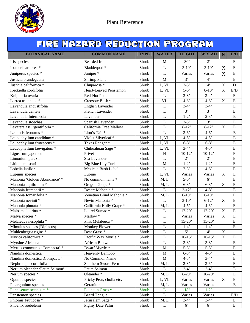

| FIRE HAZARD REDUCTION PROGRAM    |                               |                            |                           |                |                    |                       |                         |  |  |
|----------------------------------|-------------------------------|----------------------------|---------------------------|----------------|--------------------|-----------------------|-------------------------|--|--|
| <b>BOTANICAL NAME</b>            | <b>COMMON NAME</b>            | <b>TYPE</b>                | <b>WATER</b>              | <b>HEIGHT</b>  | <b>SPREAD</b>      | $\mathbf N$           | E/D                     |  |  |
| Iris species                     | <b>Bearded Iris</b>           | Shrub                      | M                         | $-30"$         | $2^{\circ}$        |                       | $\mathbf E$             |  |  |
| Isomeris arborea *               | Bladderpod *                  | Shrub                      | $\bf L$                   | $3-10'$        | $3-10'$            | X                     | ${\bf E}$               |  |  |
| Juniperus species *              | Juniper <sup>*</sup>          | Shrub                      | L                         | Varies         | Varies             | X                     | ${\bf E}$               |  |  |
| Justicia brandegeana             | <b>Shrimp Plant</b>           | Shrub                      | $\overline{M}$            | 3'             | $\overline{4}$     |                       | $\overline{E}$          |  |  |
| Justicia californica *           | Chuparosa *                   | Shrub                      | L, VL                     | $2 - 5'$       | $\overline{4}$     | $\mathbf X$           | $\mathbf D$             |  |  |
| Keckiella cordifolia             | <b>Heart-Leaved Penstemon</b> | Shrub                      | L, VL                     | $5-6'$         | $8-10'$            | $\overline{\text{X}}$ | E/D                     |  |  |
| Kniphofia uvaria                 | Red-Hot Poker                 | Shrub                      | $\mathbf{L}$              | $2 - 3'$       | $3-4'$             |                       | ${\bf E}$               |  |  |
| Larrea tridentate *              | Creosote Bush <sup>*</sup>    | Shrub                      | <b>VL</b>                 | $4 - 8'$       | $4 - 8'$           | $\mathbf X$           | $\overline{E}$          |  |  |
| Lavandula angustifolia           | English Lavender              | Shrub                      | L                         | $3-4'$         | $3-4'$             |                       | E                       |  |  |
| Lavandula dentate                | French Lavender               | Shrub                      | $\mathbf L$               | $\overline{3}$ | 3'                 |                       | $\overline{E}$          |  |  |
| Lavandula Intermedia             | Lavender                      | Shrub                      | $\mathbf{L}$              | $1-2"$         | $2 - 3'$           |                       | ${\bf E}$               |  |  |
| Lavandula stoechas               | Spanish Lavender              | Shrub                      | L                         | $2 - 3'$       | 3'                 |                       | $\mathbf E$             |  |  |
| Lavatera assurgentifloria *      | California Tree Mallow        | Shrub                      | L                         | $8-12'$        | $8-12'$            | X                     | $\overline{E}$          |  |  |
| Leonotis Ieonurus *              | Lion's Tail*                  | Shrub                      | L                         | $3-6'$         | $4-6'$             |                       | $\mathbf E$             |  |  |
| Leucophyllum candidum *          | Violet Silverleaf *           | Shrub                      | L, VL                     | $4 - 5'$       | $4 - 5'$           |                       | $\overline{E}$          |  |  |
| Leucophyllum frutescens *        | Texas Ranger*                 | Shrub                      | L, VL                     | $6 - 8'$       | $6 - 8'$           |                       | $\mathbf E$             |  |  |
| Leucophyllum laevigatum *        | Chihuahuan Sage *             | Shrub                      | L, VL                     | $3-4'$         | $4-5$              |                       | $\overline{E}$          |  |  |
| Ligustrum japonicum              | Privet                        | $\overline{\text{Sh}}$ rub | $\boldsymbol{\mathrm{H}}$ | $10-12'$       | $10-12'$           |                       | E                       |  |  |
| Limonium perezii                 | Sea Lavender                  | Shrub                      | $\overline{L}$            | $\overline{2}$ | $\overline{2}$     |                       | $\overline{E}$          |  |  |
| Liriope muscari                  | Big Blue Lily Turf            | Shrub                      | $\mathbf M$               | $1-2"$         | $1-2"$             |                       | $\overline{E}$          |  |  |
| Lobelia lanflora                 | Mexican Bush Lobelia          | Shrub                      | $\mathbf{L}$              | $2 - 3'$       | $4 - 6'$           |                       | $\overline{E}$          |  |  |
| Lupinus species                  | Lupine                        | $\overline{\text{Sh}}$ rub | L, VL                     | Varies         | Varies             | $\mathbf X$           | $\overline{E}$          |  |  |
| Mahonia 'Golden Abundance' *     | No common name *              | Shrub                      | M, L                      | $5-6'$         | 6 <sup>7</sup>     |                       | E                       |  |  |
| Mahonia aquifolium *             | Oregon Grape *                | Shrub                      | M, L                      | $6 - 8'$       | $6 - 8'$           | $\mathbf X$           | $\overline{E}$          |  |  |
| Mahonia fremontii *              | Desert Mahonia *              | Shrub                      | L                         | $3-12'$        | $4 - 8'$           |                       | E                       |  |  |
| Mahonia Iomarifolia <sup>*</sup> | Venetian Blind Mahonia *      | Shrub                      | M, L                      | $6 - 10'$      | $6-10'$            |                       | $\overline{E}$          |  |  |
| Mahonia nevinii *                | Nevin Mahonia *               | Shrub                      | L                         | $3-10'$        | $6-12'$            | X                     | $\overline{E}$          |  |  |
| Mahonia pinnata *                | California Holly Grape *      | Shrub                      | M, L                      | $4 - 5'$       | $4 - 6'$           |                       | $\overline{E}$          |  |  |
| Malosma laurina *                | Laurel Sumac <sup>*</sup>     | Shrub                      | L                         | $12 - 20'$     | $12 - 20'$         | $\mathbf X$           | $\overline{E}$          |  |  |
| Malva species *                  | Mallow $*$                    | Shrub                      | $\bf L$                   | Varies         | Varies             | $\overline{X}$        | $\overline{E}$          |  |  |
| Melaleuca nesophila *            | Pink Melaleuca *              | Shrub                      | $\mathbf L$               | $15-20'$       | $15-20'$           |                       | $\overline{\mathrm{E}}$ |  |  |
| Mimulus species (Diplacus)       | Monkey Flower                 | Shrub                      | $\mathbf L$               | $1-4'$         | $1-4'$             |                       | E                       |  |  |
| Muhlenbergia rigins *            | Dear Grass <sup>*</sup>       | Shrub                      | L                         | 5'             | $4^{\circ}$        | $\mathbf X$           |                         |  |  |
| Myrica californica *             | Pacific Wax Myrtle *          | Shrub                      | L                         | $10-15'$       | $10-15'$           | $\bar{X}$             | E                       |  |  |
| Myrsine Africana                 | African Boxwood               | Shrub                      | L                         | $3 - 8'$       | $3 - 8'$           |                       | E                       |  |  |
| Myrtus communis 'Compacta' *     | Dwarf Myrtle *                | Shrub                      | $\mathbf M$               | $5 - 8'$       | $5 - 8'$           |                       | ${\bf E}$               |  |  |
| Nandina domestica                | Heavenly Bamboo               | Shrub                      | $\mathbf M$               | $6 - 8'$       | $4 - 5'$           |                       | ${\bf E}$               |  |  |
| Nandina domestica ;Compacta'     | No Common Name                | Shrub                      | $\mathbf M$               | $4-5$          | $3-4'$             |                       | ${\bf E}$               |  |  |
| Nephrolepis cordifolia           | Southern Sword Fern           | Shrub                      | M, L                      | $2 - 3$        | $3-6'$             |                       | ${\bf E}$               |  |  |
| Nerium oleander 'Petite Salmon'  | Petite Salmon                 | Shrub                      | L                         | $3-4'$         | $3-4'$             |                       | ${\bf E}$               |  |  |
| Nerium species *                 | Oleander <sup>*</sup>         | Shrub                      | M, L                      | $8-20'$        | $10-20'$           |                       | ${\bf E}$               |  |  |
| Opuntia species                  | Pricky Pear, cholla etc.      | Shrub                      | L, VL                     | Varies         | Varies             | $\mathbf X$           | ${\bf E}$               |  |  |
| Pelargonium species              | Geranium                      | Shrub                      | M, L                      | Varies         | Varies             |                       | ${\bf E}$               |  |  |
| Pennisetum setaceum *            | Fountain Grass <sup>*</sup>   | Shrub                      | L                         | $-18"$         | $1-2$ <sup>*</sup> |                       |                         |  |  |
| Penstemon species                | <b>Beard Tongue</b>           | Shrub                      | $\mathbf L$               | Varies         | Varies             |                       | E/D                     |  |  |
| Phlomis Fruticosa *              | Jerusalem Sage <sup>*</sup>   | Shrub                      | M, L                      | $3-4'$         | $3-4'$             |                       | E                       |  |  |
| Phoenix roebelenii               | Pigmy Date Palm               | Shrub                      | $\mathbf L$               | $6^{\circ}$    | $6^{\circ}$        |                       | ${\bf E}$               |  |  |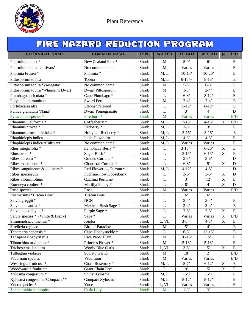

|                                      | FIRE HAZARD REDUCTION PROGRAM |             |                |                |                |                           |                |  |  |  |  |  |
|--------------------------------------|-------------------------------|-------------|----------------|----------------|----------------|---------------------------|----------------|--|--|--|--|--|
| <b>BOTANICAL NAME</b>                | <b>COMMON NAME</b>            | <b>TYPE</b> | <b>WATER</b>   | <b>HEIGHT</b>  | <b>SPREAD</b>  | N                         | E/D            |  |  |  |  |  |
| Phormium tenax *                     | New Zealand Flax *            | Shrub       | M              | $5-9'$         | $6^{\circ}$    |                           | E              |  |  |  |  |  |
| Phormium tenax 'cultivars'           | No common name                | Shrub       | $\mathbf{M}$   | Varies         | Varies         |                           | E              |  |  |  |  |  |
| Photinia Fraseri*                    | Photinia <sup>*</sup>         | Shrub       | M, L           | $10-15'$       | $10-20'$       |                           | ${\bf E}$      |  |  |  |  |  |
| Pittosporum tobira                   | Tobira                        | Shrub       | M, L           | $6 - 15' +$    | $8 - 15'$      |                           | ${\bf E}$      |  |  |  |  |  |
| Pittosporum tobira 'Variegata'       | No common name                | Shrub       | M              | $5 - 8'$       | $6 - 8'$       |                           | E              |  |  |  |  |  |
| Pittosporum tobira 'Wheeler's Dwarf' | Dwarf Pittosporum             | Shrub       | M              | $1-3'$         | $2-4'$         |                           | ${\bf E}$      |  |  |  |  |  |
| Plumbago auriculata *                | Cape Plumbago *               | Shrub       | $\mathbf{L}$   | $6 - 8'$       | $8-12'$        |                           | E              |  |  |  |  |  |
| Polystichum munitum                  | Sword Fern                    | Shrub       | M              | $2-4'$         | $2 - 4'$       |                           | E              |  |  |  |  |  |
| Portulacaria afra                    | Elephant's Food               | Shrub       | L              | $5-12'$        | $6-12'$        |                           | ${\bf E}$      |  |  |  |  |  |
| Punica granatum 'Nana'               | <b>Dwarf Pomegranate</b>      | Shrub       | $\mathbf L$    | 3'             | $4^{\circ}$    |                           | $\mathbf D$    |  |  |  |  |  |
| Pyracantha species *                 | Firethorn <sup>*</sup>        | Shrub       | M              | <b>Varies</b>  | Varies         |                           | E/D            |  |  |  |  |  |
| Rhamnus California *                 | Coffeeberry <sup>*</sup>      | Shrub       | M, L           | $3-15'$        | $4 - 15'$      | $\boldsymbol{\mathrm{X}}$ | E/D            |  |  |  |  |  |
| Rhamnus crocea <sup>*</sup>          | Redberry <sup>*</sup>         | Shrub       | M, L           | $2-3'$         | $\overline{3}$ |                           | ${\bf E}$      |  |  |  |  |  |
| Rhamnus crocea ilicifolia *          | Hollyleaf Redberry *          | Shrub       | M, L           | $3-15'$        | $3-15'$        |                           | ${\bf E}$      |  |  |  |  |  |
| Rhaphiolepis indica                  | India Hawthorn                | Shrub       | M, L           | $4 - 8'$       | $4 - 8'$       |                           | $\overline{E}$ |  |  |  |  |  |
| Rhaphiolepis indica 'Cultivars'      | No common name                | Shrub       | M, L           | Varies         | Varies         |                           | $\mathbf E$    |  |  |  |  |  |
| Rhus integrifolia *                  | Lemonade Berry *              | Shrub       | L              | $3 - 10' +$    | $6 - 20'$      | $\mathbf X$               | E              |  |  |  |  |  |
| Rhus ovata *                         | Sugar Bush *                  | Shrub       | $\mathbf L$    | $3-15'$        | $6 - 15'$      | $\mathbf X$               | E              |  |  |  |  |  |
| Ribes aureum <sup>*</sup>            | Golden Currant <sup>*</sup>   | Shrub       | $\overline{L}$ | $3-6'$         | $3 - 6'$       |                           | $\mathbf D$    |  |  |  |  |  |
| Ribes malvaceum *                    | Chaparral Currant*            | Shrub       | $\overline{L}$ | $6 - 8'$       | 5'             | $\mathbf X$               | $\mathbf D$    |  |  |  |  |  |
| Ribes sanguineum & cultivars *       | Red Flowering Currant*        | Shrub       | M, L           | $4 - 12'$      | $4 - 8'$       |                           | $\mathbf D$    |  |  |  |  |  |
| Ribes speciosum                      | Fuchsia-Flow.Gooseberry       | Shrub       | L              | $3-6'$         | $3 - 6'$       | $\mathbf X$               | $\mathbf D$    |  |  |  |  |  |
| Ribes viburnifolium                  | Catalina Perfume              | Shrub       | $\bf L$        | $\overline{3}$ | 12'            | $\overline{X}$            | $\overline{E}$ |  |  |  |  |  |
| Romneya coulteri *                   | Matilija Poppy*               | Shrub       | $\mathbf{L}$   | $\overline{8}$ | $4^{\circ}$    | X                         | D              |  |  |  |  |  |
| Rosa species                         | Rose                          | Shrub       | M              | Varies         | Varies         |                           | E/D            |  |  |  |  |  |
| Rosmarinus 'Tuscan Blue'             | <b>Tuscan Blue</b>            | Shrub       | L              | 6 <sup>o</sup> | $6^{\circ}$    |                           |                |  |  |  |  |  |
| Salvia greggii *                     | <b>NCN</b>                    | Shrub       | L              | $3-4'$         | $3-4'$         |                           | E              |  |  |  |  |  |
| Salvia leucantha *                   | Mexican Bush Sage *           | Shrub       | $\overline{L}$ | $3-4'$         | $3-4'$         |                           | $\overline{E}$ |  |  |  |  |  |
| Salvia leucophylla *                 | Purple Sage *                 | Shrub       | $\mathbf L$    | $2 - 6'$       | $2 - 6'$       | $\mathbf X$               | $\overline{E}$ |  |  |  |  |  |
| Salvia species * (White & Black)     | Sage $*$                      | Shrub       | L              | Varies         | Varies         | $\mathbf X$               | E/D            |  |  |  |  |  |
| Simmondsia chinensis *               | Jojoba                        | Shrub       | L, VL          | $3 - 8' +$     | $4 - 8'$       | $\overline{\text{X}}$     | $\overline{E}$ |  |  |  |  |  |
| Strelitzia reginae                   | <b>Bird of Paradise</b>       | Shrub       | M              | 5'             | $4^{\circ}$    |                           | E              |  |  |  |  |  |
| Tecomaria capensis *                 | Cape Honeysuckle *            | Shrub       | L              | $6 - 8'$       | $12 - 15'$     |                           | E              |  |  |  |  |  |
| Tetrapanax papyriferus               | Rice Paper Plant              | Shrub       | M              | $10-15'$       | 15'            |                           | ${\bf E}$      |  |  |  |  |  |
| Tibouchina urvilleana *              | Princess Flower*              | Shrub       | $\mathbf M$    | $5 - 18'$      | $5-18'$        |                           | ${\bf E}$      |  |  |  |  |  |
| Trichostema lanatum                  | <b>Wooly Blue Curls</b>       | Shrub       | L, VL          | $3-5'$         | $5^{\circ}$    | $\mathbf X$               | ${\bf E}$      |  |  |  |  |  |
| Tulbaghia violacea                   | Society Garlic                | Shrub       | M              | 18'            | $2^{\circ}$    |                           | E/D            |  |  |  |  |  |
| Viburnum species                     | Viburnum                      | Shrub       | M              | Varies         | Varies         |                           | E/D            |  |  |  |  |  |
| Westringia fruticosa *               | Coast Rosemary *              | Shrub       | M, L           | $5 - 7'$       | $6-12'$        | X                         | E              |  |  |  |  |  |
| Woodwardia fimbriata                 | Giant Chain Fern              | Shrub       | $\mathbf{L}$   | 9'             | $5^{\circ}$    | $\mathbf X$               | ${\bf E}$      |  |  |  |  |  |
| Xylosma congestum *                  | Shiny Xylosma                 | Shrub       | M, L           | $15'+$         | $15'+$         |                           | ${\bf E}$      |  |  |  |  |  |
| Xylosma congestum 'Compacta' *       | Compact Xylosma               | Shrub       | M, L           | $8-12'$        | $8-12'$        |                           | E              |  |  |  |  |  |
| Yucca species *                      | Yucca                         | Shrub       | L, VL          | Varies         | Varies         |                           | ${\bf E}$      |  |  |  |  |  |
| Zantedeschia aethiopica              | <b>Calla Lilly</b>            | Shrub       | M              | $1-3'$         | 3'             |                           |                |  |  |  |  |  |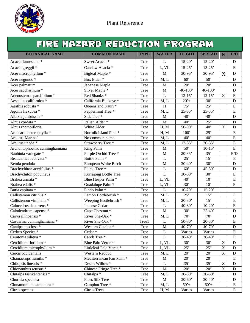

|                                   | FIRE HAZARD REDUCTION PROGRAM       |             |                           |                    |                 |             |                         |
|-----------------------------------|-------------------------------------|-------------|---------------------------|--------------------|-----------------|-------------|-------------------------|
| <b>BOTANICAL NAME</b>             | <b>COMMON NAME</b>                  | <b>TYPE</b> | <b>WATER</b>              | <b>HEIGHT</b>      | <b>SPREAD</b>   | N           | E/D                     |
| Acacia farnesiana *               | Sweet Acacia *                      | Tree        | L                         | $15 - 20'$         | $15 - 20'$      |             | D                       |
| Acacia greggii <sup>*</sup>       | Catclaw Acacia *                    | <b>Tree</b> | L, VL                     | $15 - 25'$         | $15 - 25'$      |             | ${\bf E}$               |
| Acer macrophyllum *               | Bigleaf Maple *                     | Tree        | $\mathbf M$               | 30-95'             | $30-95$         | X           | $\mathbf D$             |
| Acer negundo *                    | Box Elder <sup>*</sup>              | <b>Tree</b> | M, L                      | 60'                | 50'             |             | $\mathbf D$             |
| Acer palmatum                     | Japanese Maple                      | Tree        | M                         | 20'                | 20'             |             | ${\bf D}$               |
| Acer saccharinum <sup>*</sup>     | Silver Maple *                      | <b>Tree</b> | M                         | $40 - 100'$        | $40 - 100'$     |             | $\mathbf D$             |
| Adenostema sparsifolium *         | Red Shanks <sup>*</sup>             | <b>Tree</b> | $\mathbf L$               | $12 - 15'$         | $12 - 15'$      | $\mathbf X$ | ${\bf E}$               |
| Aesculus californica *            | California Buckeye *                | <b>Tree</b> | M, L                      | $20'+$             | 30'             |             | $\mathbf D$             |
| Agathis robusta *                 | Queensland Kauri <sup>*</sup>       | Tree        | $\boldsymbol{\mathrm{H}}$ | 75'                | 25'             |             | ${\bf E}$               |
| Agonis flexuosa *                 | Peppermint Tree <sup>*</sup>        | Tree        | M, L                      | $25 - 35'$         | $25 - 35'$      |             | $\mathbf E$             |
| Albizia julibrissin *             | Silk Tree <sup>*</sup>              | <b>Tree</b> | $\mathbf{M}$              | 40'                | 40'             |             | $\mathbf D$             |
| Alnus cordata *                   | Italian Alder*                      | Tree        | M                         | 40'                | 25'             |             | $\mathbf D$             |
| Alnus rhombifloria                | White Alder                         | Tree        | H, M                      | $50-90'$           | 40'             | $\mathbf X$ | ${\bf D}$               |
| Araucaria heterophylla *          | Norfolk Island Pine *               | <b>Tree</b> | H, M                      | 100'               | 25'             |             | ${\bf E}$               |
| Arbutus' Marina'                  | No common name                      | Tree        | M, L                      | 40'                | 40'             |             | E                       |
| Arbutus unedo <sup>*</sup>        | Strawberry Tree *                   | Tree        | M, L                      | $12 - 35'$         | $20 - 35'$      |             | ${\bf E}$               |
| Archontophoenix cunninghamiana    | King Palm                           | Tree        | M                         | 50'                | $10-15'$        |             | $\mathbf E$             |
| Bauhinia variegate *              | Purple Orchid Tree <sup>*</sup>     | <b>Tree</b> | $\mathbf M$               | $20 - 35'$         | 35'             |             | E/D                     |
| Beaucarnea recuvata *             | Bottle Palm <sup>*</sup>            | <b>Tree</b> | L                         | 25'                | 15'             |             | E                       |
| Betula pendula                    | European White Birch                | Tree        | M                         | $30 - 40'$         | 30'             |             | ${\bf D}$               |
| Brachychiton acerifolius *        | Flame Tree*                         | Tree        | L                         | 60'                | $45 - 50'$      |             | $\mathbf D$             |
| <b>Brachychiton</b> populneus     | Kurrajong Bottle Tree               | <b>Tree</b> | $\mathbf L$               | $\overline{30-50}$ | 30'             |             | ${\bf E}$               |
| Brahea armata *                   | Blue Hesper Palm <sup>*</sup>       | Tree        | L, VL                     | 40'                | 10'             |             | ${\bf E}$               |
| Brahea edulis *                   | Guadalupe Palm <sup>*</sup>         | Tree        | L, VL                     | 30'                | 10'             |             | ${\bf E}$               |
| Butia capitata *                  | Pindo Palm <sup>*</sup>             | <b>Tree</b> | L                         | $10-20'$           | $15 - 20'$      |             |                         |
| Callistemon citrinus *            | Lemon Bottlebrush <sup>*</sup>      | <b>Tree</b> | M, L                      | 25'                | 15'             |             | ${\bf E}$               |
| Callistenom viminalis *           | Weeping Bottlebrush *               | <b>Tree</b> | M, L                      | $20 - 30'$         | 15'             |             | ${\bf E}$               |
| Calocedrus decurrens <sup>*</sup> | <b>Incense Cedar</b>                | Tree        | L                         | $40 - 80'$         | $10-20'$        |             | E                       |
| Calodendrum capense *             | Cape Chestnut <sup>*</sup>          | <b>Tree</b> | $\mathbf M$               | 30'                | $25 - 40'$      |             | ${\bf D}$               |
| Carya illinoensis *               | River She-Oak *                     | Tree        | M, L                      | $\overline{70}$    | $\overline{70}$ |             | $\mathbf D$             |
| Casuarina cunninghamiana *        | River She-Oak *                     | Tree1       | $\bf L$                   | $50-70'$           | $20-30'$        |             | $\overline{\mathrm{E}}$ |
| Catalpa speciosa *                | Western Catalpa *                   | <b>Tree</b> | $\mathbf M$               | $40 - 70'$         | 40-70'          |             | D                       |
| Cedrus Species *                  | Cedar *                             | <b>Tree</b> | L                         | Varies             | Varies          |             | E                       |
| Ceratonia siliqua *               | Carob Tree*                         | Tree        | $\mathbf{L}$              | $30-40'$           | $30-40'$        |             | E                       |
| Cercidium floridum *              | Blue Palo Verde*                    | <b>Tree</b> | L, VL                     | 30'                | 30'             | $\mathbf X$ | $\mathbf D$             |
| Cercidium microphyllum *          | Littleleaf Palo Verde*              | <b>Tree</b> | L, VL                     | 25'                | 25'             | $\mathbf X$ | D                       |
| Cercis occidentalis               | Western Redbud                      | Tree        | M, L                      | 20'                | 20'             | $\mathbf X$ | D                       |
| Chamaerops humilis *              | Mediterranean Fan Palm <sup>*</sup> | Tree        | $\mathbf M$               | 20'                | 20'             |             | ${\bf E}$               |
| Chilopsis linearis *              | Desert Willow *                     | Tree        | L                         | 35'                | 35'             | X           | D                       |
| Chionanthus retusus *             | Chinese Fringe Tree *               | <b>Tree</b> | M                         | 20'                | 20'             | $\mathbf X$ | D                       |
| Chitalpa tashkentensis *          | Chitalpa *                          | Tree        | M, L                      | $20 - 30'$         | $20 - 30'$      |             | D                       |
| Chorisia speciosa                 | Floss Silk Tree                     | Tree        | M                         | $30 - 60'$         | $30 - 40'$      |             | ${\bf D}$               |
| Cinnamomum camphora *             | Camphor Tree*                       | Tree        | M, L                      | $50' +$            | $60' +$         |             | ${\bf E}$               |
| Citrus species                    | <b>Citrus Trees</b>                 | Tree        | H, M                      | Varies             | Varies          |             | ${\bf E}$               |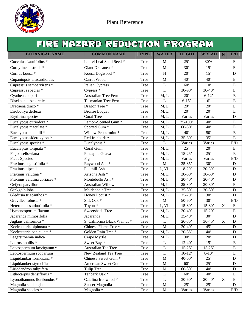

|                                     | FIRE HAZARD REDUCTION PROGRAM  |             |                |               |                    |                           |                         |
|-------------------------------------|--------------------------------|-------------|----------------|---------------|--------------------|---------------------------|-------------------------|
| <b>BOTANICAL NAME</b>               | <b>COMMON NAME</b>             | <b>TYPE</b> | <b>WATER</b>   | <b>HEIGHT</b> | <b>SPREAD</b>      | N                         | E/D                     |
| Cocculus Laurifolius *              | Laurel Leaf Snail Seed *       | Tree        | M              | 25'           | $30'+$             |                           | E                       |
| Cordyline australis *               | Giant Dracanea *               | <b>Tree</b> | M              | 30'           | 15'                |                           | ${\bf E}$               |
| Cornus kousa *                      | Kousa Dogwood*                 | <b>Tree</b> | $\, {\rm H}$   | 20'           | 15'                |                           | $\mathbf D$             |
| Cupaniopsis anacardioides           | Carrot Wood                    | Tree        | $\mathbf M$    | 40'           | 40'                |                           | ${\bf E}$               |
| Cupressus sempervirens *            | Italian Cypress                | Tree        | L              | 60'           | 10'                |                           | E                       |
| Cupressus species *                 | Cypress $*$                    | Tree        | L              | $30-90'$      | $30 - 40'$         |                           | ${\bf E}$               |
| Cyathea cooperi                     | <b>Australian Tree Fern</b>    | <b>Tree</b> | M, L           | 20'           | $6-12'$            |                           | ${\bf E}$               |
| Discksonia Antarctica               | <b>Tasmanian Tree Fern</b>     | Tree        | $\mathbf{L}$   | $6 - 15'$     | $6^{\circ}$        |                           | ${\bf E}$               |
| Dracaena draco *                    | Dragon Tree *                  | Tree        | M, L           | 20'           | 20'                |                           | ${\bf E}$               |
| Eriobotrya deflexa                  | <b>Bronze</b> Loquat           | <b>Tree</b> | M, L           | 20'           | 20'                |                           | $\mathbf E$             |
| Erythrina species                   | Coral Tree                     | <b>Tree</b> | M, L           | Varies        | Varies             |                           | $\mathbf D$             |
| Eucalyptus citriodora *             | Lemon-Scented Gum <sup>*</sup> | <b>Tree</b> | M, L           | 75-100'       | 40'                |                           | ${\bf E}$               |
| Eucalyptus maculate *               | Spotted Gum <sup>*</sup>       | Tree        | M, L           | $60 - 80'$    | 40'                |                           | ${\bf E}$               |
| Eucalyptus nicholii *               | Willow Peppermint *            | Tree        | M, L           | 40'           | 50'                |                           | ${\bf E}$               |
| Eucalyptus sideroxylon <sup>*</sup> | Red Ironbark *                 | <b>Tree</b> | M, L           | $35 - 80'$    | 35'                |                           | $\mathbf E$             |
| Eucalyptus species *                | Eucalyptus <sup>*</sup>        | <b>Tree</b> | $\mathbf L$    | Varies        | Varies             |                           | E/D                     |
| Eucalyptus torquata *               | Coral Gum                      | <b>Tree</b> | M, L           | 25'           | 20'                |                           | ${\bf E}$               |
| Feijoa sellowiana                   | Pineaplle Guava                | Tree        | M, L           | $18 - 25'$    | 25'                |                           | $\overline{E}$          |
| <b>Ficus Species</b>                | Fig                            | Tree        | M, L           | Varies        | Varies             |                           | E/D                     |
| Fraxinus augustifolia *             | Raywood Ash <sup>*</sup>       | <b>Tree</b> | M              | $25 - 35'$    | 30'                |                           | ${\bf D}$               |
| Fraxinus dipetala                   | Foothill Ash                   | <b>Tree</b> | L, VL          | $18 - 20'$    | $20 - 30'$         |                           | ${\bf D}$               |
| Fraxinus velutina *                 | Arizona Ash <sup>*</sup>       | Tree        | M, L           | $20 - 50'$    | $\overline{30-50}$ |                           | $\mathbf D$             |
| Fraxinus velutina coriacea *        | Montebello Ash <sup>*</sup>    | Tree        | M, L           | $20 - 40'$    | $20 - 40'$         |                           | $\mathbf D$             |
| Geijera parviflora                  | <b>Australian Willow</b>       | Tree        | M, L           | $25 - 30'$    | $20 - 30'$         |                           | ${\bf E}$               |
| Ginkgo biloba                       | Maidenhair Tree                | <b>Tree</b> | M, L           | $35 - 80'$    | $30 - 80'$         |                           | ${\bf D}$               |
| Gleditsia triacanthos *             | Honey Locust*                  | Tree        | M, L           | $35 - 70'$    | 30'                |                           | $\mathbf D$             |
| Grevillea robusta *                 | Silk Oak *                     | <b>Tree</b> | $\mathbf{M}$   | $50 - 60'$    | 30'                |                           | E/D                     |
| Heteromeles arbutifolia *           | Toyon <sup>*</sup>             | <b>Tree</b> | L, VL          | $15 - 30'$    | $15 - 30'$         | $\boldsymbol{\mathrm{X}}$ | ${\bf E}$               |
| Hymenosporum flavum                 | Sweetshade Tree                | Tree        | M, L           | $20 - 40'$    | $15 - 20'$         |                           | ${\bf E}$               |
| Jacaranda mimosifolia               | Jacaranda                      | Tree        | M, L           | $25 - 40'$    | 30'                |                           | ${\bf D}$               |
| Juglans californica *               | S, California Black Walnut *   | Tree        | $\overline{L}$ | $20-35'$      | $30-45'$           | $\overline{\textbf{X}}$   | $\overline{\mathbf{D}}$ |
| Koelreuteria bipinnata *            | Chinese Flame Tree *           | Tree        | $\mathbf M$    | $20 - 40'$    | 45'                |                           | D                       |
| Koelreuteria paniculata *           | Golden Rain Tree *             | Tree        | M, L           | $20 - 35'$    | 40'                |                           | D                       |
| Lagerstroemia indica                | Crape Myrtle                   | Tree        | M, L           | 30'           | $20^{\circ}$       |                           | D                       |
| Laurus nobilis $*$                  | Sweet Bay <sup>*</sup>         | Tree        | L              | $12 - 40'$    | 15'                |                           | E                       |
| Leptospermum laevigatum *           | Australian Tea Tree            | Tree        | $\bf L$        | $15 - 25$     | $15 - 25'$         |                           | ${\bf E}$               |
| Leptospermum scoparium              | New Zealand Tea Tree           | Tree        | $\mathbf L$    | $10-12'$      | $8 - 10'$          |                           | E                       |
| Liquidambar formosana *             | Chinese Sweet Gum <sup>*</sup> | Tree        | M              | $40 - 60'$    | 25'                |                           | D                       |
| Liquidamber styraciflua             | American Sweet Gum             | Tree        | M              | 60'           | 25'                |                           | D                       |
| Liriodendron tulipifera             | <b>Tulip Tree</b>              | Tree        | M              | $60 - 80'$    | 40'                |                           | D                       |
| Lithocarpus densiflorus *           | Tanbark Oak *                  | Tree        | L              | 60'           | 40'                |                           | E                       |
| Lyonothamnus floribundus *          | Catalina Ironwood *            | Tree        | $\mathbf L$    | $30 - 60'$    | $20 - 40'$         | $\mathbf X$               | E                       |
| Magnolia soulangiana                | Saucer Magnolia                | Tree        | $\mathbf M$    | 25'           | 25'                |                           | D                       |
| Magnolia species *                  | Magnolia <sup>*</sup>          | Tree        | M              | Varies        | Varies             |                           | E/D                     |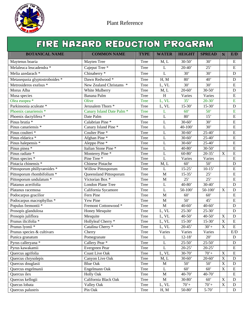

|                                | FIRE HAZARD REDUCTION PROGRAM        |             |                                 |                  |                  |                |                         |
|--------------------------------|--------------------------------------|-------------|---------------------------------|------------------|------------------|----------------|-------------------------|
| <b>BOTANICAL NAME</b>          | <b>COMMON NAME</b>                   | <b>TYPE</b> | <b>WATER</b>                    | <b>HEIGHT</b>    | <b>SPREAD</b>    | N              | E/D                     |
| Maytenus boaria                | Mayten Tree                          | Tree        | M, L                            | $30 - 50'$       | 30'              |                | ${\bf E}$               |
| Melaleuca leucadendra *        | Cajeput Tree <sup>*</sup>            | Tree        | $\mathbf{L}$                    | $20-40'$         | 25'              |                | ${\bf E}$               |
| Melia azedarach *              | Chinaberry *                         | <b>Tree</b> | ${\bf L}$                       | 30'              | 30'              |                | ${\bf D}$               |
| Metasequoia glyptostroboides * | Dawn Redwood *                       | Tree        | H, M                            | 80'              | 40'              |                | ${\bf D}$               |
| Metrosideros exelsus *         | New Zealand Christams *              | Tree        | L, VL                           | $\overline{30'}$ | 30'              |                | ${\bf E}$               |
| Morus Alba                     | White Mulberry                       | <b>Tree</b> | M, L                            | $20 - 60'$       | $30 - 50'$       |                | $\mathbf D$             |
| Musa species                   | Banana Palm                          | Tree        | $\, {\rm H}$                    | Varies           | Varies           |                | ${\bf E}$               |
| Olea euopea <sup>*</sup>       | Olive                                | <b>Tree</b> | L, VL                           | 35'              | $20 - 30'$       |                | E                       |
| Parkinsonia aculeate *         | Jerusalem Thorn <sup>*</sup>         | Tree        | L, VL                           | $15-30'$         | $15-30'$         |                | ${\bf D}$               |
| Phoenix canariensis *          | Canary Island Date Palm <sup>*</sup> | <b>Tree</b> | L                               | 60'              | 50'              |                | E                       |
| Phoenix dactylifera *          | Date Palm                            | Tree        | $\overline{L}$                  | $\overline{80}$  | 15'              |                | ${\bf E}$               |
| Pinus brutia *                 | Calabrian Pine *                     | <b>Tree</b> | L                               | $30 - 60'$       | 30'              |                | E                       |
| Pinus canariensis *            | Canary Island Pine *                 | <b>Tree</b> | $\overline{L}$                  | $40 - 100'$      | $\overline{30'}$ |                | ${\bf E}$               |
| Pinus coulteri *               | Coulter Pine <sup>*</sup>            | Tree        | L                               | $30 - 60'$       | $25 - 40'$       |                | $\mathbf E$             |
| Pinus eldarica *               | Afghan Pine <sup>*</sup>             | Tree        | L                               | $30 - 60'$       | $25 - 40'$       |                | $\mathbf E$             |
| Pinus halepensis *             | Aleppo Pine*                         | Tree        | $\overline{L}$                  | $30 - 60'$       | $25 - 40'$       |                | $\mathbf E$             |
| Pinus pinea *                  | Italian Stone Pine *                 | <b>Tree</b> | $\mathbf{L}$                    | $40 - 80'$       | $30 - 50'$       |                | ${\bf E}$               |
| Pinus radiate *                | Monterey Pine *                      | Tree        | $\mathbf{L}$                    | $60 - 80'$       | $20 - 35'$       | $\mathbf X$    | $\mathbf E$             |
| Pinus species *                | Pine Tree*                           | <b>Tree</b> | $\overline{L}$                  | Varies           | Varies           |                | ${\bf E}$               |
| Pistacia chinensis *           | <b>Chinese Pistache</b>              | <b>Tree</b> | M, L                            | 60'              | 50'              |                | $\mathbf D$             |
| Pittosporum phillyraeoides *   | Willow Pittosporum                   | <b>Tree</b> | L                               | $15 - 25'$       | $10-15'$         |                | ${\bf E}$               |
| Pittosporum rhombifolium *     | Queensland Pittosporum               | Tree        | M                               | $15 - 35'$       | 25'              |                | $\overline{E}$          |
| Pittosporum undulatum *        | Victorian Box *                      | Tree        | M                               | 25'              | 25'              |                | $\overline{E}$          |
| Platanus acerifolia            | <b>London Plane Tree</b>             | Tree        | $\mathbf{L}$                    | $40 - 80'$       | $30-40'$         |                | ${\bf D}$               |
| Platanus racemosa              | California Sycamore                  | Tree        | $\mathbf{L}$                    | $50 - 100'$      | $50-100'$        | $\mathbf X$    | $\mathbf D$             |
| Podocarpus gracilior           | Fern Pine                            | Tree        | $\mathbf{M}$                    | 60'              | 60'              |                | ${\bf E}$               |
| Podocarpus macrophyllus *      | Yew Pine                             | <b>Tree</b> | M                               | $\overline{50}$  | 45'              |                | E                       |
| Populus fremontii *            | Fremont Cottonwood *                 | <b>Tree</b> | M                               | $40 - 60'$       | $40 - 60'$       |                | $\mathbf D$             |
| Prosopis glandulosa            | Honey Mesquite                       | Tree        | L, VL                           | $25 - 30'$       | $25 - 30'$       |                | $\mathbf D$             |
| Prosopis juliflora             | Mesquite                             | Tree        | L, VL                           | $40-50'$         | $40 - 50'$       | $\mathbf X$    | ${\bf D}$               |
| Prunus ilicifolia *            | Hollyleaf Cherry *                   | Tree        | $\overline{\text{L},\text{VL}}$ | $15 - 30'$       | $15 - 30'$       | $\overline{X}$ | $\overline{\mathrm{E}}$ |
| Prunus lyonii <sup>*</sup>     | Catalina Cherry *                    | Tree        | L, VL                           | $20 - 45'$       | $30'+$           | X              | ${\bf E}$               |
| Prunus species & cultivars     | Cherry                               | Tree        | Varies                          | Varies           | Varies           |                | E/D                     |
| Punica granatum                | Pomegranate                          | Tree        | $\mathbf{L}$                    | $12 - 18'$       | 20'              |                | D                       |
| Pyrus calleryana *             | Callery Pear *                       | Tree        | L                               | $25 - 50'$       | $25 - 50'$       |                | ${\rm D}$               |
| Pyrus kawakamii                | Evergreen Pear                       | Tree        | L                               | $20-25$          | $20-25$          |                | ${\bf E}$               |
| Quercus agrifolia              | <b>Coast Live Oak</b>                | Tree        | L, VL                           | $30 - 70'$       | $70+$            | X              | E                       |
| Quercus chrysolepis            | Canyon Live Oak                      | Tree        | M, L                            | $30 - 60'$       | $20-60'$         | $\mathbf X$    | $\mathbf D$             |
| Quercus douglasii              | <b>Blue Oak</b>                      | Tree        | $\mathbf M$                     | 50'              | 50'              | X              | $\mathbf D$             |
| Quercus engelmanii             | Engelmann Oak                        | Tree        | $\mathbf L$                     | 60'              | 60'              | $\mathbf X$    | ${\bf E}$               |
| Quercus ilex                   | <b>Holly Oak</b>                     | Tree        | $\mathbf M$                     | $40 - 70'$       | 40-70'           |                | ${\bf E}$               |

Quercus kellogii California Black Oak Tree M 30-80' 60' X D Quecus lobata <br>
Valley Oak Tree L, VL 70'+ 70'+ X D<br>
Quercus palustris Pin Oak Tree H, M 50-80' 5-70' D Quercus palustris Pin Oak Tree H, M 50-80' 5-70' D